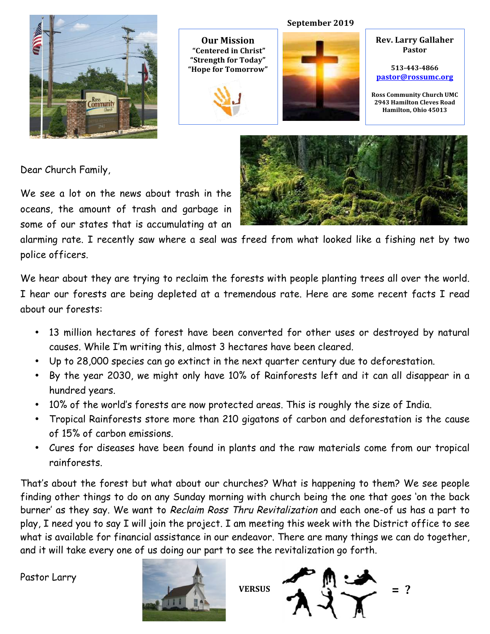

**Our Mission "Centered in Christ"** "Strength for Today" "Hope for Tomorrow"



# **September 2019**

**Rev. Larry Gallaher Pastor**

**513-443-4866 pastor@rossumc.org**

**Ross Community Church UMC 2943 Hamilton Cleves Road Hamilton, Ohio 45013**

Dear Church Family,

We see a lot on the news about trash in the oceans, the amount of trash and garbage in some of our states that is accumulating at an



alarming rate. I recently saw where a seal was freed from what looked like a fishing net by two police officers.

We hear about they are trying to reclaim the forests with people planting trees all over the world. I hear our forests are being depleted at a tremendous rate. Here are some recent facts I read about our forests:

- 13 million hectares of forest have been converted for other uses or destroyed by natural causes. While I'm writing this, almost 3 hectares have been cleared.
- Up to 28,000 species can go extinct in the next quarter century due to deforestation.
- By the year 2030, we might only have 10% of Rainforests left and it can all disappear in a hundred years.
- 10% of the world's forests are now protected areas. This is roughly the size of India.
- Tropical Rainforests store more than 210 gigatons of carbon and deforestation is the cause of 15% of carbon emissions.
- Cures for diseases have been found in plants and the raw materials come from our tropical rainforests.

That's about the forest but what about our churches? What is happening to them? We see people finding other things to do on any Sunday morning with church being the one that goes 'on the back burner' as they say. We want to Reclaim Ross Thru Revitalization and each one-of us has a part to play, I need you to say I will join the project. I am meeting this week with the District office to see what is available for financial assistance in our endeavor. There are many things we can do together, and it will take every one of us doing our part to see the revitalization go forth.

Pastor Larry



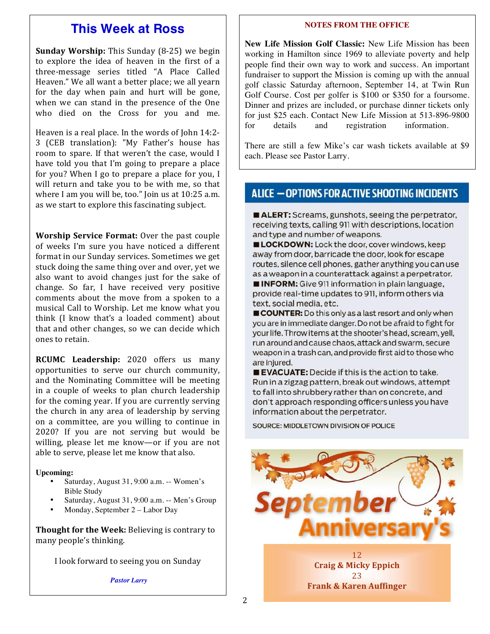# **This Week at Ross**

**Sunday Worship:** This Sunday (8-25) we begin to explore the idea of heaven in the first of a three-message series titled "A Place Called Heaven." We all want a better place; we all yearn for the day when pain and hurt will be gone, when we can stand in the presence of the One who died on the Cross for you and me.

Heaven is a real place. In the words of John 14:2-3 (CEB translation): "My Father's house has room to spare. If that weren't the case, would I have told you that I'm going to prepare a place for you? When I go to prepare a place for you, I will return and take you to be with me, so that where I am you will be, too." Join us at 10:25 a.m. as we start to explore this fascinating subject.

**Worship Service Format:** Over the past couple of weeks I'm sure you have noticed a different format in our Sunday services. Sometimes we get stuck doing the same thing over and over, yet we also want to avoid changes just for the sake of change. So far, I have received very positive comments about the move from a spoken to a musical Call to Worship. Let me know what you think (I know that's a loaded comment) about that and other changes, so we can decide which ones to retain.

**RCUMC** Leadership: 2020 offers us many opportunities to serve our church community, and the Nominating Committee will be meeting in a couple of weeks to plan church leadership for the coming year. If you are currently serving the church in any area of leadership by serving on a committee, are you willing to continue in 2020? If you are not serving but would be willing, please let me know—or if you are not able to serve, please let me know that also.

#### **Upcoming:**

- Saturday, August 31, 9:00 a.m. -- Women's Bible Study
- Saturday, August 31, 9:00 a.m. -- Men's Group
- Monday, September 2 Labor Day

**Thought for the Week:** Believing is contrary to many people's thinking.

I look forward to seeing you on Sunday

*Pastor Larry*

#### **NOTES FROM THE OFFICE**

**New Life Mission Golf Classic:** New Life Mission has been working in Hamilton since 1969 to alleviate poverty and help people find their own way to work and success. An important fundraiser to support the Mission is coming up with the annual golf classic Saturday afternoon, September 14, at Twin Run Golf Course. Cost per golfer is \$100 or \$350 for a foursome. Dinner and prizes are included, or purchase dinner tickets only for just \$25 each. Contact New Life Mission at 513-896-9800 for details and registration information.

There are still a few Mike's car wash tickets available at \$9 each. Please see Pastor Larry.

# ALICE - OPTIONS FOR ACTIVE SHOOTING INCIDENTS

ALERT: Screams, gunshots, seeing the perpetrator, receiving texts, calling 911 with descriptions, location and type and number of weapons.

LOCKDOWN: Lock the door, cover windows, keep away from door, barricade the door, look for escape routes, silence cell phones, gather anything you can use as a weapon in a counterattack against a perpetrator. **INFORM:** Give 911 information in plain language.

provide real-time updates to 911, inform others via text, social media, etc.

COUNTER: Do this only as a last resort and only when you are in immediate danger. Do not be afraid to fight for your life. Throw items at the shooter's head, scream, yell, run around and cause chaos, attack and swarm, secure weapon in a trash can, and provide first aid to those who are injured.

**EVACUATE:** Decide if this is the action to take. Run in a zigzag pattern, break out windows, attempt to fall into shrubbery rather than on concrete, and don't approach responding officers unless you have information about the perpetrator.

SOURCE: MIDDLETOWN DIVISION OF POLICE

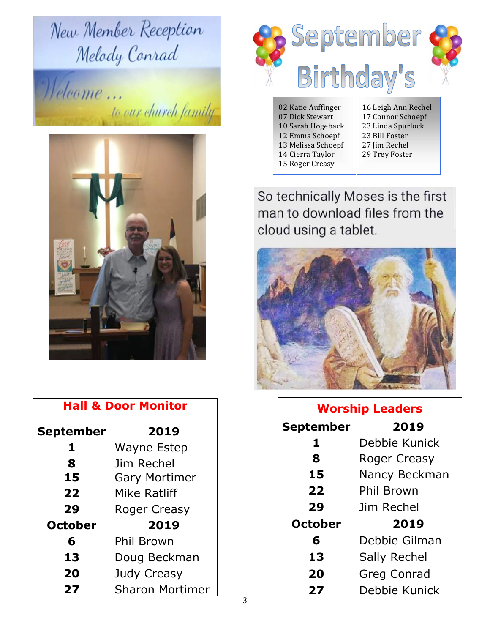New Member Reception Melody Conrad

Welcome... to our church family



| <b>Hall &amp; Door Monitor</b> |                        |  |  |
|--------------------------------|------------------------|--|--|
| September                      | 2019                   |  |  |
| 1                              | Wayne Estep            |  |  |
| 8                              | Jim Rechel             |  |  |
| 15                             | <b>Gary Mortimer</b>   |  |  |
| 22                             | Mike Ratliff           |  |  |
| 29                             | Roger Creasy           |  |  |
| <b>October</b>                 | 2019                   |  |  |
| 6                              | Phil Brown             |  |  |
| 13                             | Doug Beckman           |  |  |
| 20                             | Judy Creasy            |  |  |
| 27                             | <b>Sharon Mortimer</b> |  |  |



02 Katie Auffinger 07 Dick Stewart 10 Sarah Hogeback 12 Emma Schoepf 13 Melissa Schoepf 14 Cierra Taylor 15 Roger Creasy

16 Leigh Ann Rechel 17 Connor Schoepf 23 Linda Spurlock 23 Bill Foster 27 Jim Rechel 29 Trey Foster

So technically Moses is the first man to download files from the cloud using a tablet.



| <b>Worship Leaders</b> |                     |  |
|------------------------|---------------------|--|
| September              | 2019                |  |
| 1                      | Debbie Kunick       |  |
| 8                      | <b>Roger Creasy</b> |  |
| 15                     | Nancy Beckman       |  |
| 22                     | Phil Brown          |  |
| 29                     | Jim Rechel          |  |
| <b>October</b>         | 2019                |  |
| 6                      | Debbie Gilman       |  |
| 13                     | Sally Rechel        |  |
| 20                     | <b>Greg Conrad</b>  |  |
| 27                     | Debbie Kunick       |  |